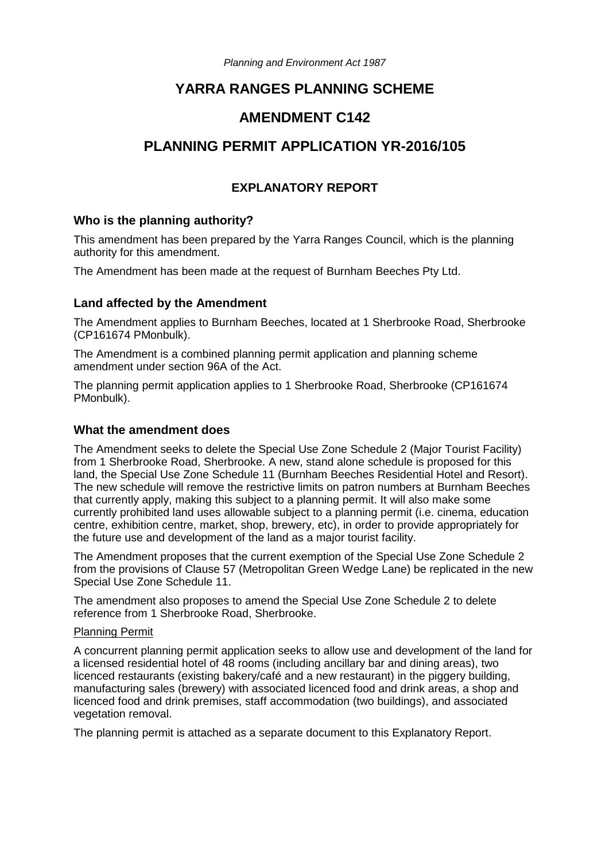*Planning and Environment Act 1987*

# **YARRA RANGES PLANNING SCHEME**

## **AMENDMENT C142**

# **PLANNING PERMIT APPLICATION YR-2016/105**

## **EXPLANATORY REPORT**

#### **Who is the planning authority?**

This amendment has been prepared by the Yarra Ranges Council, which is the planning authority for this amendment.

The Amendment has been made at the request of Burnham Beeches Pty Ltd.

#### **Land affected by the Amendment**

The Amendment applies to Burnham Beeches, located at 1 Sherbrooke Road, Sherbrooke (CP161674 PMonbulk).

The Amendment is a combined planning permit application and planning scheme amendment under section 96A of the Act.

The planning permit application applies to 1 Sherbrooke Road, Sherbrooke (CP161674 PMonbulk).

#### **What the amendment does**

The Amendment seeks to delete the Special Use Zone Schedule 2 (Major Tourist Facility) from 1 Sherbrooke Road, Sherbrooke. A new, stand alone schedule is proposed for this land, the Special Use Zone Schedule 11 (Burnham Beeches Residential Hotel and Resort). The new schedule will remove the restrictive limits on patron numbers at Burnham Beeches that currently apply, making this subject to a planning permit. It will also make some currently prohibited land uses allowable subject to a planning permit (i.e. cinema, education centre, exhibition centre, market, shop, brewery, etc), in order to provide appropriately for the future use and development of the land as a major tourist facility.

The Amendment proposes that the current exemption of the Special Use Zone Schedule 2 from the provisions of Clause 57 (Metropolitan Green Wedge Lane) be replicated in the new Special Use Zone Schedule 11.

The amendment also proposes to amend the Special Use Zone Schedule 2 to delete reference from 1 Sherbrooke Road, Sherbrooke.

#### Planning Permit

A concurrent planning permit application seeks to allow use and development of the land for a licensed residential hotel of 48 rooms (including ancillary bar and dining areas), two licenced restaurants (existing bakery/café and a new restaurant) in the piggery building, manufacturing sales (brewery) with associated licenced food and drink areas, a shop and licenced food and drink premises, staff accommodation (two buildings), and associated vegetation removal.

The planning permit is attached as a separate document to this Explanatory Report.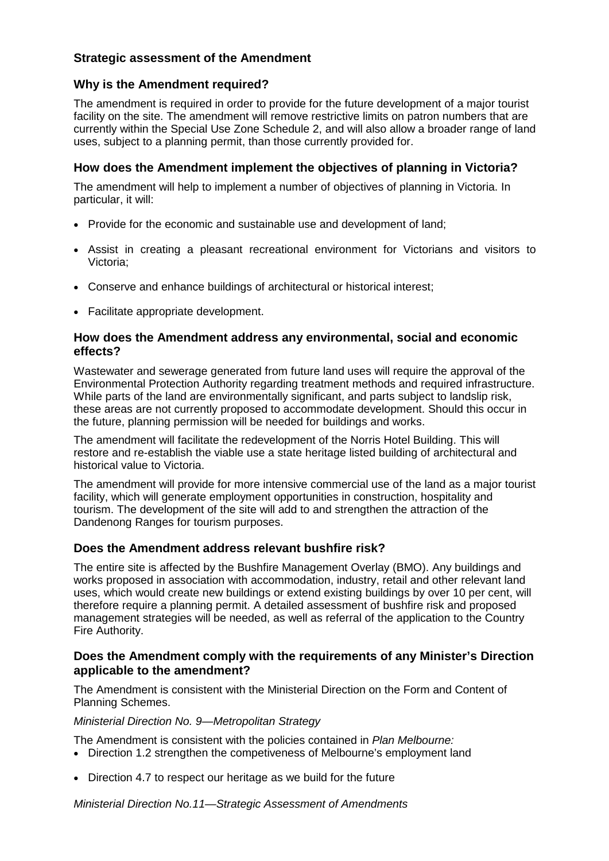## **Strategic assessment of the Amendment**

## **Why is the Amendment required?**

The amendment is required in order to provide for the future development of a major tourist facility on the site. The amendment will remove restrictive limits on patron numbers that are currently within the Special Use Zone Schedule 2, and will also allow a broader range of land uses, subject to a planning permit, than those currently provided for.

## **How does the Amendment implement the objectives of planning in Victoria?**

The amendment will help to implement a number of objectives of planning in Victoria. In particular, it will:

- Provide for the economic and sustainable use and development of land;
- Assist in creating a pleasant recreational environment for Victorians and visitors to Victoria;
- Conserve and enhance buildings of architectural or historical interest;
- Facilitate appropriate development.

#### **How does the Amendment address any environmental, social and economic effects?**

Wastewater and sewerage generated from future land uses will require the approval of the Environmental Protection Authority regarding treatment methods and required infrastructure. While parts of the land are environmentally significant, and parts subject to landslip risk, these areas are not currently proposed to accommodate development. Should this occur in the future, planning permission will be needed for buildings and works.

The amendment will facilitate the redevelopment of the Norris Hotel Building. This will restore and re-establish the viable use a state heritage listed building of architectural and historical value to Victoria.

The amendment will provide for more intensive commercial use of the land as a major tourist facility, which will generate employment opportunities in construction, hospitality and tourism. The development of the site will add to and strengthen the attraction of the Dandenong Ranges for tourism purposes.

## **Does the Amendment address relevant bushfire risk?**

The entire site is affected by the Bushfire Management Overlay (BMO). Any buildings and works proposed in association with accommodation, industry, retail and other relevant land uses, which would create new buildings or extend existing buildings by over 10 per cent, will therefore require a planning permit. A detailed assessment of bushfire risk and proposed management strategies will be needed, as well as referral of the application to the Country Fire Authority.

#### **Does the Amendment comply with the requirements of any Minister's Direction applicable to the amendment?**

The Amendment is consistent with the Ministerial Direction on the Form and Content of Planning Schemes.

#### *Ministerial Direction No. 9—Metropolitan Strategy*

The Amendment is consistent with the policies contained in *Plan Melbourne:* 

- Direction 1.2 strengthen the competiveness of Melbourne's employment land
- Direction 4.7 to respect our heritage as we build for the future

*Ministerial Direction No.11—Strategic Assessment of Amendments*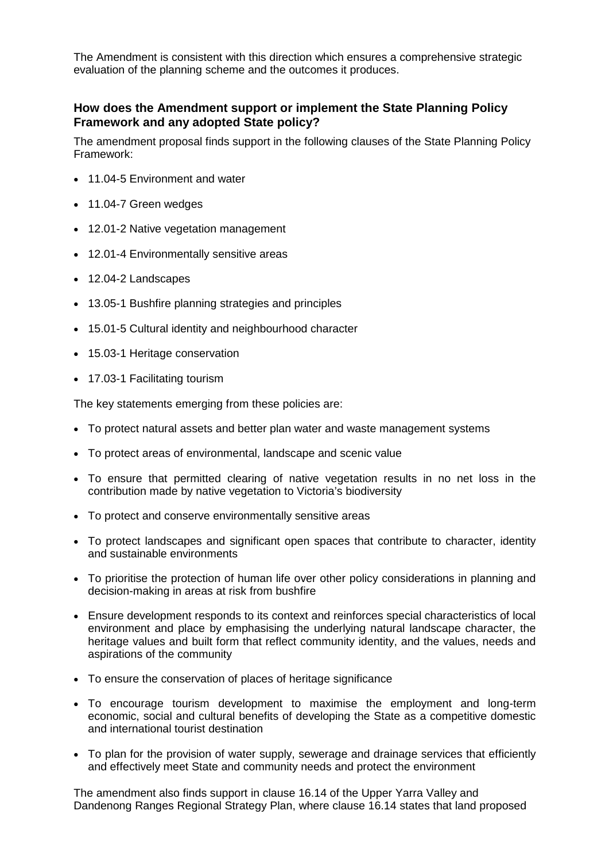The Amendment is consistent with this direction which ensures a comprehensive strategic evaluation of the planning scheme and the outcomes it produces.

#### **How does the Amendment support or implement the State Planning Policy Framework and any adopted State policy?**

The amendment proposal finds support in the following clauses of the State Planning Policy Framework:

- 11.04-5 Environment and water
- 11.04-7 Green wedges
- 12.01-2 Native vegetation management
- 12.01-4 Environmentally sensitive areas
- 12.04-2 Landscapes
- 13.05-1 Bushfire planning strategies and principles
- 15.01-5 Cultural identity and neighbourhood character
- 15.03-1 Heritage conservation
- 17.03-1 Facilitating tourism

The key statements emerging from these policies are:

- To protect natural assets and better plan water and waste management systems
- To protect areas of environmental, landscape and scenic value
- To ensure that permitted clearing of native vegetation results in no net loss in the contribution made by native vegetation to Victoria's biodiversity
- To protect and conserve environmentally sensitive areas
- To protect landscapes and significant open spaces that contribute to character, identity and sustainable environments
- To prioritise the protection of human life over other policy considerations in planning and decision-making in areas at risk from bushfire
- Ensure development responds to its context and reinforces special characteristics of local environment and place by emphasising the underlying natural landscape character, the heritage values and built form that reflect community identity, and the values, needs and aspirations of the community
- To ensure the conservation of places of heritage significance
- To encourage tourism development to maximise the employment and long-term economic, social and cultural benefits of developing the State as a competitive domestic and international tourist destination
- To plan for the provision of water supply, sewerage and drainage services that efficiently and effectively meet State and community needs and protect the environment

The amendment also finds support in clause 16.14 of the Upper Yarra Valley and Dandenong Ranges Regional Strategy Plan, where clause 16.14 states that land proposed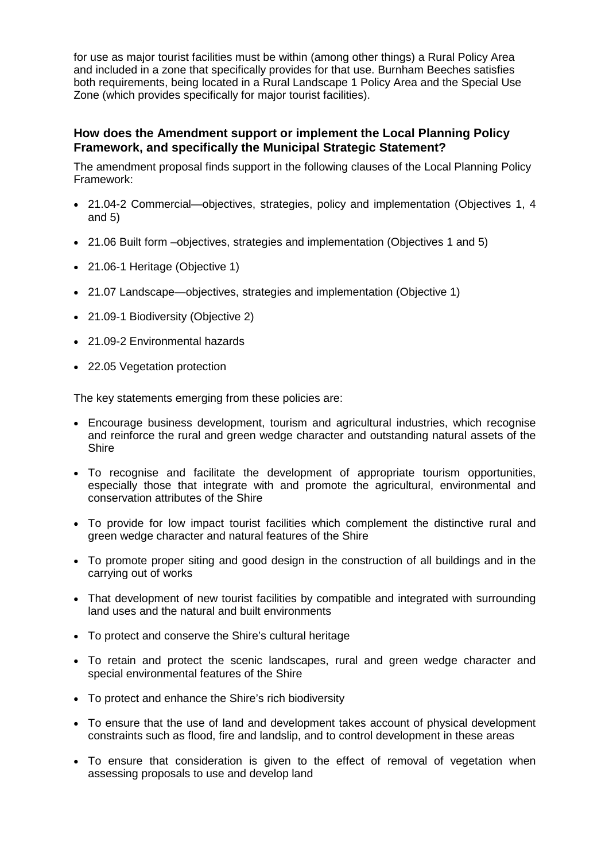for use as major tourist facilities must be within (among other things) a Rural Policy Area and included in a zone that specifically provides for that use. Burnham Beeches satisfies both requirements, being located in a Rural Landscape 1 Policy Area and the Special Use Zone (which provides specifically for major tourist facilities).

### **How does the Amendment support or implement the Local Planning Policy Framework, and specifically the Municipal Strategic Statement?**

The amendment proposal finds support in the following clauses of the Local Planning Policy Framework:

- 21.04-2 Commercial—objectives, strategies, policy and implementation (Objectives 1, 4 and 5)
- 21.06 Built form –objectives, strategies and implementation (Objectives 1 and 5)
- 21.06-1 Heritage (Objective 1)
- 21.07 Landscape—objectives, strategies and implementation (Objective 1)
- 21.09-1 Biodiversity (Objective 2)
- 21.09-2 Environmental hazards
- 22.05 Vegetation protection

The key statements emerging from these policies are:

- Encourage business development, tourism and agricultural industries, which recognise and reinforce the rural and green wedge character and outstanding natural assets of the **Shire**
- To recognise and facilitate the development of appropriate tourism opportunities, especially those that integrate with and promote the agricultural, environmental and conservation attributes of the Shire
- To provide for low impact tourist facilities which complement the distinctive rural and green wedge character and natural features of the Shire
- To promote proper siting and good design in the construction of all buildings and in the carrying out of works
- That development of new tourist facilities by compatible and integrated with surrounding land uses and the natural and built environments
- To protect and conserve the Shire's cultural heritage
- To retain and protect the scenic landscapes, rural and green wedge character and special environmental features of the Shire
- To protect and enhance the Shire's rich biodiversity
- To ensure that the use of land and development takes account of physical development constraints such as flood, fire and landslip, and to control development in these areas
- To ensure that consideration is given to the effect of removal of vegetation when assessing proposals to use and develop land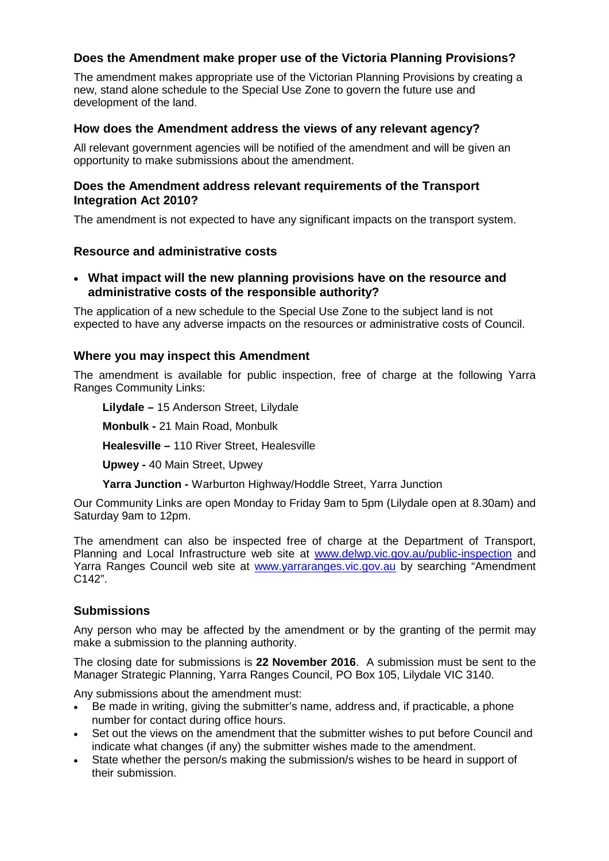## **Does the Amendment make proper use of the Victoria Planning Provisions?**

The amendment makes appropriate use of the Victorian Planning Provisions by creating a new, stand alone schedule to the Special Use Zone to govern the future use and development of the land.

## **How does the Amendment address the views of any relevant agency?**

All relevant government agencies will be notified of the amendment and will be given an opportunity to make submissions about the amendment.

### **Does the Amendment address relevant requirements of the Transport Integration Act 2010?**

The amendment is not expected to have any significant impacts on the transport system.

## **Resource and administrative costs**

• **What impact will the new planning provisions have on the resource and administrative costs of the responsible authority?**

The application of a new schedule to the Special Use Zone to the subject land is not expected to have any adverse impacts on the resources or administrative costs of Council.

## **Where you may inspect this Amendment**

The amendment is available for public inspection, free of charge at the following Yarra Ranges Community Links:

**Lilydale –** 15 Anderson Street, Lilydale

**Monbulk -** 21 Main Road, Monbulk

**Healesville –** 110 River Street, Healesville

**Upwey -** 40 Main Street, Upwey

**Yarra Junction -** Warburton Highway/Hoddle Street, Yarra Junction

Our Community Links are open Monday to Friday 9am to 5pm (Lilydale open at 8.30am) and Saturday 9am to 12pm.

The amendment can also be inspected free of charge at the Department of Transport, Planning and Local Infrastructure web site at www.delwp.vic.gov.au/public-inspection and Yarra Ranges Council web site at [www.yarraranges.vic.gov.au](http://www.yarraranges.vic.gov.au/) by searching "Amendment" C142".

## **Submissions**

Any person who may be affected by the amendment or by the granting of the permit may make a submission to the planning authority.

The closing date for submissions is **22 November 2016**. A submission must be sent to the Manager Strategic Planning, Yarra Ranges Council, PO Box 105, Lilydale VIC 3140.

Any submissions about the amendment must:

- Be made in writing, giving the submitter's name, address and, if practicable, a phone number for contact during office hours.
- Set out the views on the amendment that the submitter wishes to put before Council and indicate what changes (if any) the submitter wishes made to the amendment.
- State whether the person/s making the submission/s wishes to be heard in support of their submission.